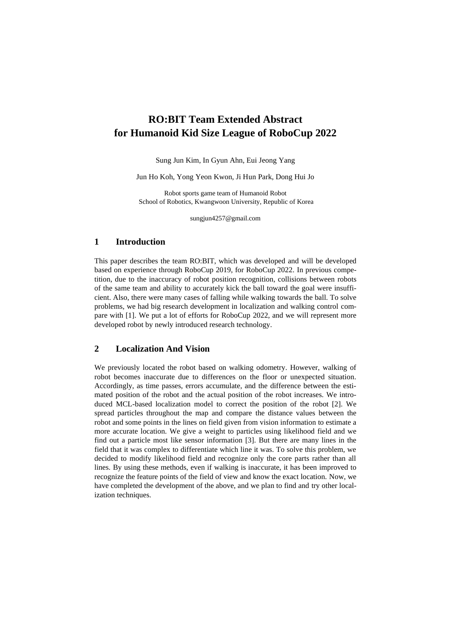# **RO:BIT Team Extended Abstract for Humanoid Kid Size League of RoboCup 2022**

Sung Jun Kim, In Gyun Ahn, Eui Jeong Yang

Jun Ho Koh, Yong Yeon Kwon, Ji Hun Park, Dong Hui Jo

Robot sports game team of Humanoid Robot School of Robotics, Kwangwoon University, Republic of Korea

[sungjun4257@gmail.com](mailto:sungjun4257@gmail.com)

#### **1 Introduction**

This paper describes the team RO:BIT, which was developed and will be developed based on experience through RoboCup 2019, for RoboCup 2022. In previous competition, due to the inaccuracy of robot position recognition, collisions between robots of the same team and ability to accurately kick the ball toward the goal were insufficient. Also, there were many cases of falling while walking towards the ball. To solve problems, we had big research development in localization and walking control compare with [1]. We put a lot of efforts for RoboCup 2022, and we will represent more developed robot by newly introduced research technology.

## **2 Localization And Vision**

We previously located the robot based on walking odometry. However, walking of robot becomes inaccurate due to differences on the floor or unexpected situation. Accordingly, as time passes, errors accumulate, and the difference between the estimated position of the robot and the actual position of the robot increases. We introduced MCL-based localization model to correct the position of the robot [2]. We spread particles throughout the map and compare the distance values between the robot and some points in the lines on field given from vision information to estimate a more accurate location. We give a weight to particles using likelihood field and we find out a particle most like sensor information [3]. But there are many lines in the field that it was complex to differentiate which line it was. To solve this problem, we decided to modify likelihood field and recognize only the core parts rather than all lines. By using these methods, even if walking is inaccurate, it has been improved to recognize the feature points of the field of view and know the exact location. Now, we have completed the development of the above, and we plan to find and try other localization techniques.